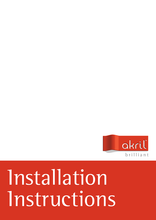

# Installation Instructions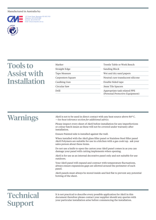#### Manufactured in Australia by:



**st***a* **<sup>e</sup>d<sup>a</sup> m**

1/37 Hosie Street, Bayswater VIC AUS 3153 Telephone: (613) 9729 4999 Facsmile: (613) 9729 5197 .<br>ita com au

## Tools to Assist with Installation

| Marker            | Trestle Table or Work Bench                                     |
|-------------------|-----------------------------------------------------------------|
| Straight Edge     | Sanding Block                                                   |
| Tape Measure      | Wet and dry sand papers                                         |
| Carpenters Square | Neutral cure translucent silicone                               |
| Caulking Gun      | Double Sided tape                                               |
| Circular Saw      | 3mm Tile Spacers                                                |
| <b>Drill</b>      | Appropriate task related PPE<br>(Personal Protective Equipment) |

### Warnings

Akril is not to be used in direct contact with any heat source above 80º C. *—See heat tolerance section for additional advice.*

Please inspect every sheet of Akril before installation for any imperfections or colour batch issues as these will not be covered under warranty after installation.

Ensure Painted side is installed against the wall.

When installed with the Akril glass filler panel or Stainless Steel filler panel Akril Polymers are suitable for use in a kitchen with a gas cook top. ask your sales person about these items.

Do not use a knife to open the carton your Akril panel comes in as you can damage your panel with cutting implements when opening.

Akril is for use as an internal decorative panel only and not suitable for use outdoors.

Your Akril panel will expand and contract with temperature fluctuations, always ensure expansions gaps are allowed around the perimeter of each panel.

Akril panels must always be stored inside and lied flat to prevent any potential bowing of the sheet.

### **Technical** Support

It is not practical to describe every possible application for Akril in this document therefore please contact your supplier should any queries with your particular installation arise before commencing the installation.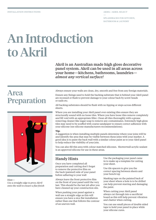—

Splashbacks for Kitchen, BATHROOM & LAUNDRY

# An Introduction to Akril

Akril is an Australian made high gloss decorative panel system. Akril can be used in all areas across your home—kitchens, bathrooms, laundries *almost any vertical surface!* 

### Area Preparation



Hint— *Use a straight edge to press Akril onto the wall to ensure a flat finish* Always ensure your walls are clean, dry, smooth and free from any foreign materials.

Ensure any fixings used to hold the backing substrate that is behind your Akril panel are recessed or flush to prevent damage to your colour back by screw heads or nails etc.

All backing substrates should be flush with no lipping or steps across different sheets.

Where you are installing your Akril panel over existing tiles ensure they are structurally sound with no loose tiles. Where you have loose tiles remove completely and fill void with an appropriate filler. Clean all tiles thoroughly with a grease removing cleaner like sugar soap to remove any contaminates. Extremely high gloss tiles may need to be scuffed with coarse sandpaper to ensure correct adhesion with your silicone (see silicone manufacturers recommendations).

#### **Tip:**

A suggestion is when installing multiple panels determine where your joins will be and identify the area that may be visible between these joins with your marker. A good idea is to paint the back wall with a similar colour paint as to your Akril panel to help reduce the visibility of your join.

You can also fill this area with colour matched silicones. Showerwall acrylic sealant is an approved silicone for use in these areas.

### Handy Hints

Once you have completed all preparation and cutting don't forget to remove the protective film on the back (painted) side of your panel before adhering to your wall

Always leave the front protective film on the front of your panel until the very last. This should be the last job after you have cleaned up your construction site.

When pushing your panel against a wall use a straight edge as this will ensure you have a nice flat installation rather than one that follows the contour of an uneven wall.

Use the packaging your panel came in to make up a template for cutting your sheet.

Use tile spacers to give you the correct spacing between sheets and your bench top

Masking tape on the painted back of your sheet where a hole is to be drilled can help prevent starring and damaging the paint.

When cutting your Akril panel always cut through into a sacrificial board as this will help prevent vibration and chatter when cutting.

You can use small pieces of double sided tape to hold your panel in place while your silicone cures.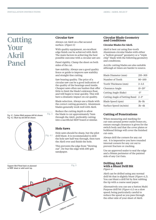### **Cutting** Your Akril Panel

Fig. 4 Fig. 4.1. Sutton Multi purpose drill bit shown. Fig. 4.2. Blunt tip std drill bit shown.



### **Circular Saw**

Always cut Akril on a flat secured surface. (*Figure 5)*

With quality equipment, an excellent edge finish can be achieved with Akril. The main factors in achieving the best possible outcome with a circular saw are:

Panel rigidity. Clamp the sheet on both sides of the cut.

Saw stability. Always use a good quality fence or guide to improve saw stability and straight-line cutting.

Saw bearing quality. The price of a circular saw can be a good indication of the quality of the bearings used inside. Cheaper saws often use bushes that offer little to limit the blade's sideways float, and will begin to wear quickly. This will have a dramatic impact on cut quality.

Blade selection. Always use a blade with the correct cutting geometry. Aluminum blades generally work well with Akril.

Reduce the cutting depth to allow the blade to cut approximately 7mm through the Akril, preferably cutting into a sacrificial MDF board or similar.

### **Hole Saws**

Hole saws should be sharp, but the pilot drill blunt. It is recommended to drill the hole saw half way through, then turn the Akril over and finish the hole.

This prevents the edge from "blowing out". De-bur the edge with 100-grit sandpaper.

Support Akril Panel back on plywood Fig. 5 or MDF sheet or solid work top. 1200mm maximum

### **Circular Blade Geometry and Conditions**

### **Circular Blades for Akril.**

Akril is best cut using fine-tooth Aluminum circular blades with either a "hollow ground" geometry or a "triple chip" blade with the following geometry and conditions;

Acrylic cutting blades are also suitable although at times are harder to source.

| Blade Diameter (mm)                       | $255 - 305$       |
|-------------------------------------------|-------------------|
| Number of Teeth                           | 80-100            |
| Tooth Thickness (mm)                      | $3 - 3.5$         |
| Clearance Angle                           | $15 - 20^{\circ}$ |
| Cutting Angle (Rake)                      | $-5^\circ$        |
| Cutting Angle of Setting Band $2-3^\circ$ |                   |
| Blade Speed (rpm)                         | $3k-5k$           |
| Surface Speed (m/min)                     | $3k-4k$           |

### **Cutting of Penetrations**

When measuring and marking for cut-outs around power outlet boxes etc, ensure enough clearance is given for the switch body and that the cover plates or bulkhead fittings will cover the finished cut-outs.

Always drill the corners for any cut out. it is imperative you have rounded internal corners for any cut out to prevent fracture or cracking.

Use an approved sealer to seal the edge and a 50mm perimeter of the painted side of any Cut Outs.

#### **Drilling Akril with a Blunt Drill Bit** *Figure 4*

Akril can be drilled using any normal drill bit that is slightly blunt (*Figure 4.2*). You can blunt a drill bit by first rubbing the tip with a coarse sand paper.

Alternatively you can use a Sutton Multi Purpose drill bit (*Figure 4.1*) on a slow speed; being particularly careful to reduce the speed as you pass through the other side of your sheet of Akril.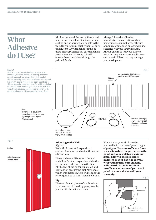### What Adhesive do I Use?

### **Figure 1**

Akril recommends the following procedure when installing your panel behind any cooktop. For areas around your cook top apply a 6mm thick bead of silicone vertically every 100mm the length of the panel. For directly behind your cook top apply 6mm bead of silicone vertically every 20mm the full width to a height of 350mm. When pressing your panel to the wall with your straight edge use enough force to compress the 6mm thick beads of silicone to approximately 2mm.

Note:

Remember to leave 3mm expansion gap between any adjoining surface & your Polymer panel

Akril recommend the use of Showerwall neutral cure translucent silicone when sealing and adhering your panels to the wall. Only premium quality neutral cure translucent 100% silicones should be used, Showerwall neutral cure silicone is a recommended silicone, this will ensure there is no bleed through the painted finish.

Always follow the adhesive manufacturers instructions when using silicones in wet areas. The use of non recommended or lower quality silicones will void your warranty. Always ensure to test your silicone in an inconspicuous area as silicones can contain fillers that may damage your Akril panel.



20mm apart across the width of cooktop

#### **Adhering to the Wall**

*Figure 2*

Each Akril sheet will expand and contract 3mm into and out of the corner silicone join.

COOKTOP

The first sheet will butt into the wall and allow for 3mm expansion while the second sheet will butt on to the first Akril sheet allowing for expansion and contraction against the first Akril sheet which was installed. This will reduce the visible join line to 3mm instead of 6mm.

#### **Tip:**

The use of small pieces of double sided tape can assist in holding your panel in place while the silicone cures.

When laying your Akril panel to your wall with the use of your straight edge (*figure 3)* **ensure sufficient force is used to reduce the gap between the panel and your wall to a maximum 2mm. This will ensure correct adhesion of your panel to the wall with your neutral cure silicone. Failure to do so could result in insufficient adhesion of your Akril panel to your wall and void your warranty.**



Fig. 2

Sealant

100mm apart

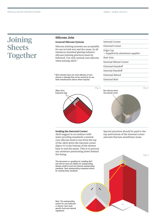### Joining **Sheets** Together

### **Silicone Join**

### **General Silicone System**

Silicone jointing systems are acceptable for use in both wet and dry areas. In all instances standard glazing industry silicone jointing practices must be followed. Use only neutral cure silicone when joining Akril.\*

\* Akril warranty does not cover adhesion of your silicone or damage that can be caused by its use. Seek manufacturers advice where required.



### **Sealing the Internal Corner**

Akril suggest in accordance with water proofing standards a neutral cure silicone bead is run from the top of the Akril down the internal corner (*figure 5)* to the bottom of the shower base to seal the panel. This is to prevent any moisture penetrating down behind the lining.

This document is a guideline for installing Akril and will not wear any liability for waterproofing. Always install to local and national waterproofing standards. Seek waterproofing companies advice for meeting these standards.

Note: The waterproofing system for your bathroom or shower must meet specific local and national regulations.

#### Internal Corner

External Corner

Edge Cap *—Supplied by aluminum supplier*

#### Butt Join

Internal Mitred Corner

External Standoff

Internal Standoff

External Mitred

External Butt



Special attention should be paid to the top and bottom of the internal corner and anti-fracture membrane areas.

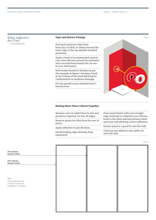| <b>What Adhesive</b> |
|----------------------|
| do I Use?            |
| —Continued           |

#### **Taps and Shower Fittings**

Peel back protective film from front face of Akril, to 25mm beyond the outer edge of the tap spindle installed perimeter.

Apply a bead of recommended neutral cure clear silicone around the perimeter and a second bead around the cut out in your Akril panel.

Both beads should be finished as per the example in figure 1 leaving a break at the bottom of the bead allowing for condensation or moisture drainage.

Fix tap spindle as per manufacturer's instructions.



### **Butting More Than 2 Sheets Together**

Measure and cut Akril Panel to size and geometry required. De-bur all edges.

Remove protective film from the rear of panel.

Apply adhesive to specification.

Install leading edge allowing 3mm expansion?

Press panel firmly with your straight edge ensuring to compress your silicone bead to the 3mm spacing between sheet and your wall allowing correct adhesion.

Ensure panel is a good fit onto the wall.

Clean up any adhesive that spills out onto the wall.

Fig. 2

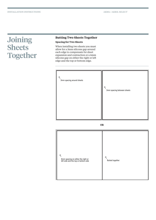### Joining **Sheets Together**

### **Butting Two Sheets Together**

### **Spacing for Two Sheets**

When installing two sheets you must allow for a 3mm silicone gap around each edge to compensate for sheet expansion and contraction or a 6mm silicone gap on either the right or left edge and the top or bottom edge.



**OR**

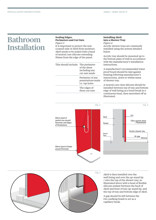### Bathroom Installation

#### **Sealing Edges, Perimeters and Cut Outs** *Figure 3*

It is important to protect the rear (coated) side of Akril from moisture. Akril needs to be sealed with a band of neutral cure silicone extending 50mm from the edge of the panel.

| This should include: The perimeter | of the sheet<br>including any<br>cut outs made          |
|------------------------------------|---------------------------------------------------------|
|                                    | Perimeter of any<br>penetrations made<br>I.e. tap holes |
|                                    | The edges of<br>these cut outs                          |
|                                    |                                                         |

### **Installing Akril into a Shower Tray** *Figure 4*

Acrylic shower trays are commonly installed using the system detailed below.

Acrylic tray should be mounted up to the bottom plate of wall in accordance with the manufacturer's installation instructions.

A manufacture's recommended water proof board should be laid against framing following manufacturer's instructions, down to within 6mm of shower tray.

A neutral cure clear silicone should be installed between top of tray and bottom edge of wall lining as a bond break in a continuous bead, then smoothed off as illustrated.







Akril is then installed over the wall lining and over the up-stand lip / onto the top of the shower tray, as illustrated above with a bead of flexible silicone sealant between the back of Akril and front of tray up-stand lip, and the top of tray and bottom edge of Akril.

A gap should be left between the two caulking beads to act as a capillary break.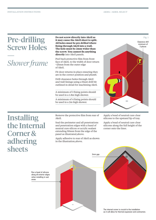### Pre-drilling Screw Holes

### — *Shower frame*

**Do not screw directly into Akril as it may cause the Akril sheet to split. All holes must be pre drilled where fixing through Akril into a wall. The hole must be 2mm wider than the screw. You cannot fix anything directly** into Akril panels.

Peel back protective film from front face of Akril, to the width of door return +25mm from the outer edge of Akril.

Fit door returns in place ensuring they are in the correct position and plumb.

Drill clearance holes through Akril and wall linings using a blunt drill bit outlined in detail for machining Akril.

A minimum of 3 fixing points should be used in a 1.8m high shower.

A minimum of 4 fixing points should be used in a 2m high shower.



### Installing the Internal Corner & adhering sheets

Remove the protective film from rear of Akril.

Seal the perimeter and all penetrations and penetration edges with a band of neutral cure silicon or acrylic sealant extending 50mm from the edge of the panel as illustrated,above.

Apply adhesive to rear of Akril as shown in the illustration,above.

Apply a bead of neutral cure clear silicone to the upstand lip of tray.

Apply a bead of neutral cure clear silicone along the full height of the corner onto the liner.

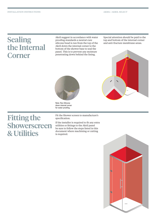# the Internal Corner

Akril suggest in accordance with water proofing standards a neutral cure silicone bead is run from the top of the Akril down the internal corner to the bottom of the shower base to seal the panel. This is to prevent any moisture penetrating down behind the lining. Sealing and a skril suggest in accordance with water special attention should be paid to the proofing standards a neutral cure top and bottom of the internal corner silicone bead is run from the top of the and anti-fractur

Special attention should be paid to the





Note: Run Silicone down internal corner for water proofing.

### Fitting the **Showerscreen** & Utilities

Fit the Shower screen to manufacture's specification.

If the installer is required to fit any extra utilities or fittings to the Akril panel be sure to follow the steps listed in this document where machining or cutting is required.

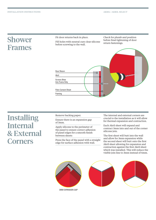### Shower Frames

Fit door returns back in place.

Fill holes with neutral cure clear silicone before screwing to the wall.

Check for plumb and position before final tightening of door return fastenings.



### **Installing** Internal & External Corners

Remove backing paper.

Ensure there is an expansion gap of 3mm.

Apply silicone to the perimeter of the panel to ensure correct adhesion of panel edges for a smooth finish between sheets

Press the face of the panel with a straight edge for surface adhesion with wall.

The internal and external corners are crucial to the installation as it will allow for thermal expansion and contraction.

Each Akril sheet will expand and contract 3mm into and out of the corner silicone join.

The first sheet will butt into the wall and allow for 3mm expansion while the second sheet will butt onto the first Akril sheet allowing for expansion and contraction against the first Akril sheet which was installed. This will reduce the visible join line to 3mm instead of 6mm.

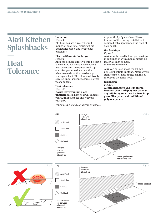### Akril Kitchen **Splashbacks**

### **Heat Tolerance**

—

### **Induction**

### *Figure 1*

Akril can be used directly behind induction cook tops, reducing time and hassles associated with colour back glass.

#### **Electric | Ceramic Cooktops** *Figure 1*

Akril can be used directly behind electric and ceramic cook tops when covered with cookware. An exposed cook top emits far greater radiant heat than when covered and this can damage your splashback. Therefore Akril is only covered under warranty against normal wear and tear.

#### **Heat tolerance**

*Figure 2*

### **Do not leave your hot plate**

**unattended**. Radiant heat will damage your Akril splashback and will void warranty.

Your glass up stand can vary in thickness

to your Akril polymer sheet. Please be aware of this during installation to achieve flush alignment on the front of your panel.

### **Gas Cooktops**

#### *Figure 3*

Akril must be used behind gas cooktops in conjunction with a non combustible materials such as glass, tiles or stainless steel.

Akril can be used above the 150mm non-combustible up stand. Alternatively stainless steel, glass or tiles can run all the way to the range hood.

#### **Expansion**

#### *Figure 3*

**A 3mm expansion gap is required between your Akril polymer panel & any adjoining substrate. i.e. benchtop, glass filler panel, wall, additional polymer panels.**



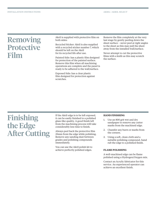### Removing Protective Film

Akril is supplied with protective film on both sides:

Recycled Sticker: Akril is also supplied with a recycled sticker number 7, which should be left on the Akril for its recycled life after use.

Painted Side: has a plastic film designed for protection of the painted surface. Remove this film when all machining operations are complete and the panel is ready to be adhered to the wall/surface.

Exposed Side: has a clear plastic film designed for protection against scratches.

Remove the film completely at the very last stage by gently peeling down the sheet surface – never peel at right angles to the sheet as this may pull the sheet away from the installed wall/surface.

Never attempt to cut the protective films with a knife as this may scratch the surface.

### Finishing the Edge After Cutting

If the Akril edge is to be left exposed, it can be easily finished to a polished glass-like quality. A good finish left from the machining process will take considerably less time to finish.

Always peel back the protective film 25mm from the edge while polishing. Remove any sanding dust between grades and polishing compounds immediately.

You can use the Akril polish kit to achieve perfectly polished edges.

#### **HAND FINISHING**

- 1. Use an 800 grit wet and dry sandpaper to remove any cutter marks from the machined edge.
- 2. Chamfer any burrs or marks from the corners.
- 3. Using a soft, clean cloth and a suitable polishing compound, hand rub the edge to a polished finish.

### **FLAME POLISHING**

A well-machined edge can be flame polished using a Hydrogen/Oxygen mix.

Contact an Acrylic fabricator for this service. An experienced operator can achieve an excellent finish.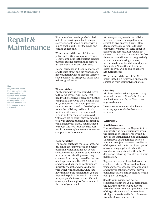### Repair & **Maintenance**

#### Note:

Only scratches on the front (non painted) side of your panel can be repaired. If you scratch the painted side (rear) of your panel a colour matched paint will need to be sourced to cover the scratch.

Finer scratches can simply be buffed out of your Akril splashback using an electric variable speed polisher with a lambs wool or 3000 grit foam pad and cutting compound.

We recommend the use of Juice car polish and cutting compounds. " Juice Q Cut" compound is the perfect general purpose cutting compound to remove ultra fine scratches and blemishes.

Deeper scratches will require more care and the use of wet and dry sandpapers in conjunction with an electric variable speed polisher to bring your panel back to its original luster.

#### **Fine scratches**

Apply your cutting compound directly to the area of your Akril panel that needs to be repaired. Then apply further compound directly to the polishing pad on your polisher. With your polisher set to a medium speed (1200–1800rpm) rotate the polishing pad in a circular motion until most of the compound is gone and your scratch is removed. Take care not to polish away compound totally as an unlubricated polishing pad will damage your panel. You may need to repeat this step to achieve the best result. Once complete remove any excess compound with a cleaner.

#### **Deep scratches**

For deeper scratches the use of wet and dry sandpaper may be required before polishing. When sanding out deeper scratches the use of a hard sanding block is required as this will prevent deep channels from being created by the use of a finger sanding. Use 1200 grit wet and dry sand paper and continuously lubricate the wet and dry sandpaper with water while sanding. Once you have removed the scratch then you are required to polish the area in the same way you polish fine scratches. This will ensure you have a gloss finish to match the rest of your panel.

At times you may need to re polish a larger area than is damaged by your scratch to give an even finish. Often deep scratches may require the use of progressive grades of sand paper to achieve the best result. If you do not succeed in removing the scratch the first time then you will need to progressively attack the scratch using a course, medium to fine wet and dry sandpapers then polish. While this will require extra time you will be able to achieve a required result.

We recommend the use of the Akril polish kit to help remove all fine to deep scratched from your polymer panels.

#### **Cleaning**

Akril can be cleaned using warm soapy water with a micro fibre cloth. For best results Showerwall Super Clean is an approved cleaner.

Do not use any cleaners that have a scouring agent or cloths that act as scourers.

#### **Warranty**

#### **Akril Guarantee:**

Your Akril panels carry a 10 year limited manufacturing defect guarantee when the installation is registered within 28 days of the installation being completed. The first two year guarantee period is automatic subject to correct installation of the panels with a further 8 year period of cover being applicable when the installation is registered within the 28 day period following completion of your installation.

Registration or your installation can be conducted via the Showerwall website – www.showerwall.co.uk or by completing and returning the Showerwall acrylic panel registration card contained within your panel packaging.

Should your installation not be registered within the 28 day period then the guarantee given will be a 2 year period of cover from your purchase date of the goods. A copy of the associated Akril guarantee is available to download from the Showerwall website.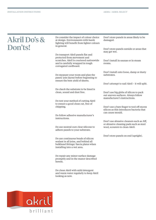### Akril Do's & Don'ts!

Do consider the impact of colour choice at design. Environments with harsh lighting will benefit from lighter colours in general.

Do transport Akril panels flat and protected from movement and scratches. Akril is couriered nationwide and is carefully wrapped in tough corrugated cardboard.

Do measure your room and plan the panel/ join layout before beginning to ensure the best yield of sheets.

Do check the substrate to be lined is clean, sound and dust free.

Do test your method of cutting Akril to ensure a good clean cut, free of chipping.

Do follow adhesive manufacturer's instructions.

Do use neutral cure clear silicone to adhere panels to your substrate.

Do use continuous beads of silicon sealant in all joins, and behind all bulkhead fittings/ fascia plates when installing into a wet area.

Do repair any minor surface damage promptly and in the manor described herein.

Do clean Akril with mild detergent and warm water regularly to keep Akril looking as new.

Don't store panels in areas likely to be damaged.

Don't store panels outside or areas that may get wet.

Don't install in saunas or in steam rooms.

Don't install onto loose, damp or dusty substrates.

Don't attempt to nail Akril – it will split.

Don't use big globs of silicon to pack out uneven surfaces. Always follow manufacturer's instructions.

Don't use a bare finger to tool off excess silicon as this introduces bacteria that can cause mould.

Don't use abrasive cleaners such as Jiff, or abrasive cleaning pads such as steel wool, scourers to clean Akril.

Don't store panels on end (upright).